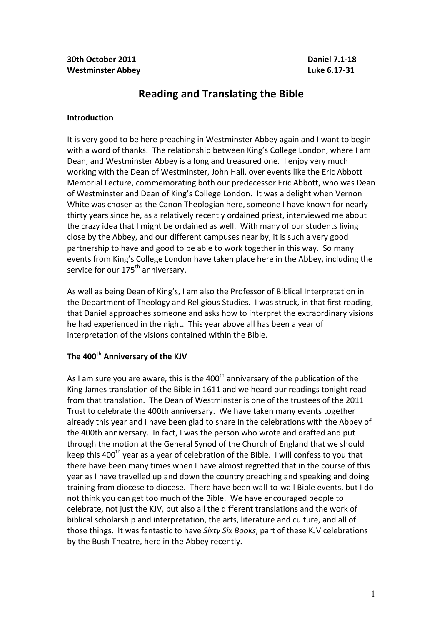# **Reading and Translating the Bible**

#### **Introduction**

It is very good to be here preaching in Westminster Abbey again and I want to begin with a word of thanks. The relationship between King's College London, where I am Dean, and Westminster Abbey is a long and treasured one. I enjoy very much working with the Dean of Westminster, John Hall, over events like the Eric Abbott Memorial Lecture, commemorating both our predecessor Eric Abbott, who was Dean of Westminster and Dean of King's College London. It was a delight when Vernon White was chosen as the Canon Theologian here, someone I have known for nearly thirty years since he, as a relatively recently ordained priest, interviewed me about the crazy idea that I might be ordained as well. With many of our students living close by the Abbey, and our different campuses near by, it is such a very good partnership to have and good to be able to work together in this way. So many events from King's College London have taken place here in the Abbey, including the service for our 175<sup>th</sup> anniversary.

As well as being Dean of King's, I am also the Professor of Biblical Interpretation in the Department of Theology and Religious Studies. I was struck, in that first reading, that Daniel approaches someone and asks how to interpret the extraordinary visions he had experienced in the night. This year above all has been a year of interpretation of the visions contained within the Bible.

## **The 400th Anniversary of the KJV**

As I am sure you are aware, this is the  $400<sup>th</sup>$  anniversary of the publication of the King James translation of the Bible in 1611 and we heard our readings tonight read from that translation. The Dean of Westminster is one of the trustees of the 2011 Trust to celebrate the 400th anniversary. We have taken many events together already this year and I have been glad to share in the celebrations with the Abbey of the 400th anniversary. In fact, I was the person who wrote and drafted and put through the motion at the General Synod of the Church of England that we should keep this 400<sup>th</sup> year as a year of celebration of the Bible. I will confess to you that there have been many times when I have almost regretted that in the course of this year as I have travelled up and down the country preaching and speaking and doing training from diocese to diocese. There have been wall-to-wall Bible events, but I do not think you can get too much of the Bible. We have encouraged people to celebrate, not just the KJV, but also all the different translations and the work of biblical scholarship and interpretation, the arts, literature and culture, and all of those things. It was fantastic to have *Sixty Six Books*, part of these KJV celebrations by the Bush Theatre, here in the Abbey recently.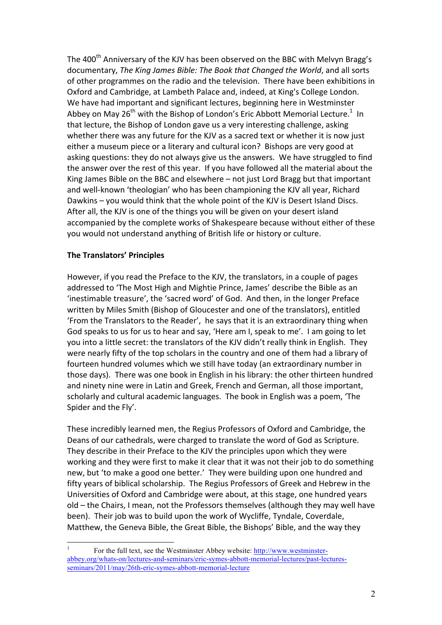The 400<sup>th</sup> Anniversary of the KJV has been observed on the BBC with Melvyn Bragg's documentary, *The King James Bible: The Book that Changed the World*, and all sorts of other programmes on the radio and the television. There have been exhibitions in Oxford and Cambridge, at Lambeth Palace and, indeed, at King's College London. We have had important and significant lectures, beginning here in Westminster Abbey on May 26<sup>th</sup> with the Bishop of London's Eric Abbott Memorial Lecture.<sup>1</sup> In that lecture, the Bishop of London gave us a very interesting challenge, asking whether there was any future for the KJV as a sacred text or whether it is now just either a museum piece or a literary and cultural icon? Bishops are very good at asking questions: they do not always give us the answers. We have struggled to find the answer over the rest of this year. If you have followed all the material about the King James Bible on the BBC and elsewhere  $-$  not just Lord Bragg but that important and well-known 'theologian' who has been championing the KJV all year, Richard Dawkins – you would think that the whole point of the KJV is Desert Island Discs. After all, the KJV is one of the things you will be given on your desert island accompanied by the complete works of Shakespeare because without either of these you would not understand anything of British life or history or culture.

## **The Translators' Principles**

However, if you read the Preface to the KJV, the translators, in a couple of pages addressed to 'The Most High and Mightie Prince, James' describe the Bible as an 'inestimable treasure', the 'sacred word' of God. And then, in the longer Preface written by Miles Smith (Bishop of Gloucester and one of the translators), entitled 'From the Translators to the Reader', he says that it is an extraordinary thing when God speaks to us for us to hear and say, 'Here am I, speak to me'. I am going to let you into a little secret: the translators of the KJV didn't really think in English. They were nearly fifty of the top scholars in the country and one of them had a library of fourteen hundred volumes which we still have today (an extraordinary number in those days). There was one book in English in his library: the other thirteen hundred and ninety nine were in Latin and Greek, French and German, all those important, scholarly and cultural academic languages. The book in English was a poem, 'The Spider and the Fly'.

These incredibly learned men, the Regius Professors of Oxford and Cambridge, the Deans of our cathedrals, were charged to translate the word of God as Scripture. They describe in their Preface to the KJV the principles upon which they were working and they were first to make it clear that it was not their job to do something new, but 'to make a good one better.' They were building upon one hundred and fifty years of biblical scholarship. The Regius Professors of Greek and Hebrew in the Universities of Oxford and Cambridge were about, at this stage, one hundred years old – the Chairs, I mean, not the Professors themselves (although they may well have been). Their job was to build upon the work of Wycliffe, Tyndale, Coverdale, Matthew, the Geneva Bible, the Great Bible, the Bishops' Bible, and the way they

 <sup>1</sup> For the full text, see the Westminster Abbey website: http://www.westminsterabbey.org/whats-on/lectures-and-seminars/eric-symes-abbott-memorial-lectures/past-lecturesseminars/2011/may/26th-eric-symes-abbott-memorial-lecture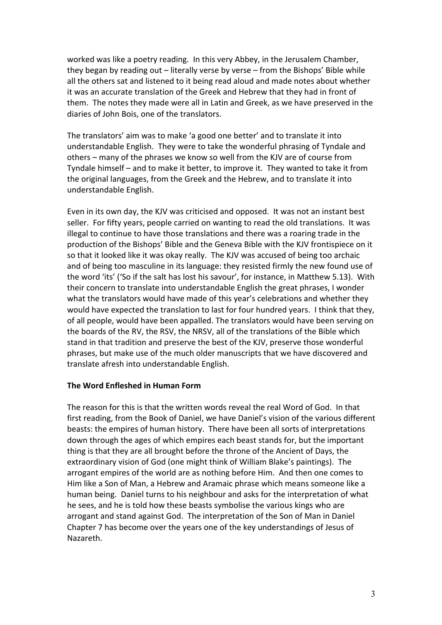worked was like a poetry reading. In this very Abbey, in the Jerusalem Chamber, they began by reading out  $-$  literally verse by verse  $-$  from the Bishops' Bible while all the others sat and listened to it being read aloud and made notes about whether it was an accurate translation of the Greek and Hebrew that they had in front of them. The notes they made were all in Latin and Greek, as we have preserved in the diaries of John Bois, one of the translators.

The translators' aim was to make 'a good one better' and to translate it into understandable English. They were to take the wonderful phrasing of Tyndale and others – many of the phrases we know so well from the KJV are of course from Tyndale himself – and to make it better, to improve it. They wanted to take it from the original languages, from the Greek and the Hebrew, and to translate it into understandable English.

Even in its own day, the KJV was criticised and opposed. It was not an instant best seller. For fifty years, people carried on wanting to read the old translations. It was illegal to continue to have those translations and there was a roaring trade in the production of the Bishops' Bible and the Geneva Bible with the KJV frontispiece on it so that it looked like it was okay really. The KJV was accused of being too archaic and of being too masculine in its language: they resisted firmly the new found use of the word 'its' ('So if the salt has lost his savour', for instance, in Matthew 5.13). With their concern to translate into understandable English the great phrases, I wonder what the translators would have made of this year's celebrations and whether they would have expected the translation to last for four hundred years. I think that they, of all people, would have been appalled. The translators would have been serving on the boards of the RV, the RSV, the NRSV, all of the translations of the Bible which stand in that tradition and preserve the best of the KJV, preserve those wonderful phrases, but make use of the much older manuscripts that we have discovered and translate afresh into understandable English.

#### **The Word Enfleshed in Human Form**

The reason for this is that the written words reveal the real Word of God. In that first reading, from the Book of Daniel, we have Daniel's vision of the various different beasts: the empires of human history. There have been all sorts of interpretations down through the ages of which empires each beast stands for, but the important thing is that they are all brought before the throne of the Ancient of Days, the extraordinary vision of God (one might think of William Blake's paintings). The arrogant empires of the world are as nothing before Him. And then one comes to Him like a Son of Man, a Hebrew and Aramaic phrase which means someone like a human being. Daniel turns to his neighbour and asks for the interpretation of what he sees, and he is told how these beasts symbolise the various kings who are arrogant and stand against God. The interpretation of the Son of Man in Daniel Chapter 7 has become over the years one of the key understandings of Jesus of Nazareth.